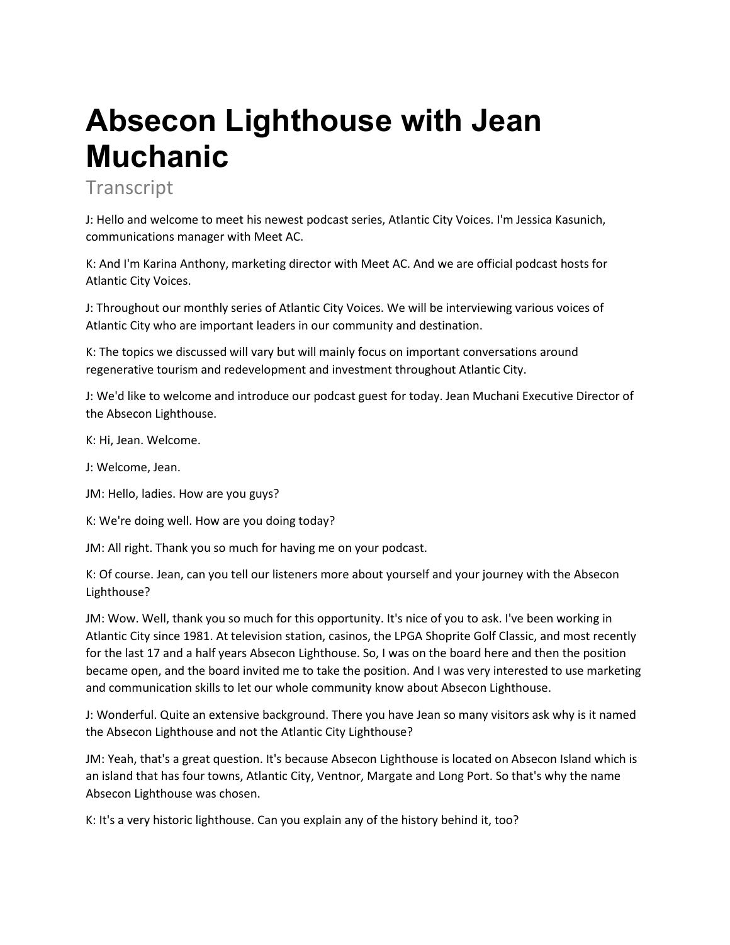## **Absecon Lighthouse with Jean Muchanic**

**Transcript** 

J: Hello and welcome to meet his newest podcast series, Atlantic City Voices. I'm Jessica Kasunich, communications manager with Meet AC.

K: And I'm Karina Anthony, marketing director with Meet AC. And we are official podcast hosts for Atlantic City Voices.

J: Throughout our monthly series of Atlantic City Voices. We will be interviewing various voices of Atlantic City who are important leaders in our community and destination.

K: The topics we discussed will vary but will mainly focus on important conversations around regenerative tourism and redevelopment and investment throughout Atlantic City.

J: We'd like to welcome and introduce our podcast guest for today. Jean Muchani Executive Director of the Absecon Lighthouse.

K: Hi, Jean. Welcome.

J: Welcome, Jean.

JM: Hello, ladies. How are you guys?

K: We're doing well. How are you doing today?

JM: All right. Thank you so much for having me on your podcast.

K: Of course. Jean, can you tell our listeners more about yourself and your journey with the Absecon Lighthouse?

JM: Wow. Well, thank you so much for this opportunity. It's nice of you to ask. I've been working in Atlantic City since 1981. At television station, casinos, the LPGA Shoprite Golf Classic, and most recently for the last 17 and a half years Absecon Lighthouse. So, I was on the board here and then the position became open, and the board invited me to take the position. And I was very interested to use marketing and communication skills to let our whole community know about Absecon Lighthouse.

J: Wonderful. Quite an extensive background. There you have Jean so many visitors ask why is it named the Absecon Lighthouse and not the Atlantic City Lighthouse?

JM: Yeah, that's a great question. It's because Absecon Lighthouse is located on Absecon Island which is an island that has four towns, Atlantic City, Ventnor, Margate and Long Port. So that's why the name Absecon Lighthouse was chosen.

K: It's a very historic lighthouse. Can you explain any of the history behind it, too?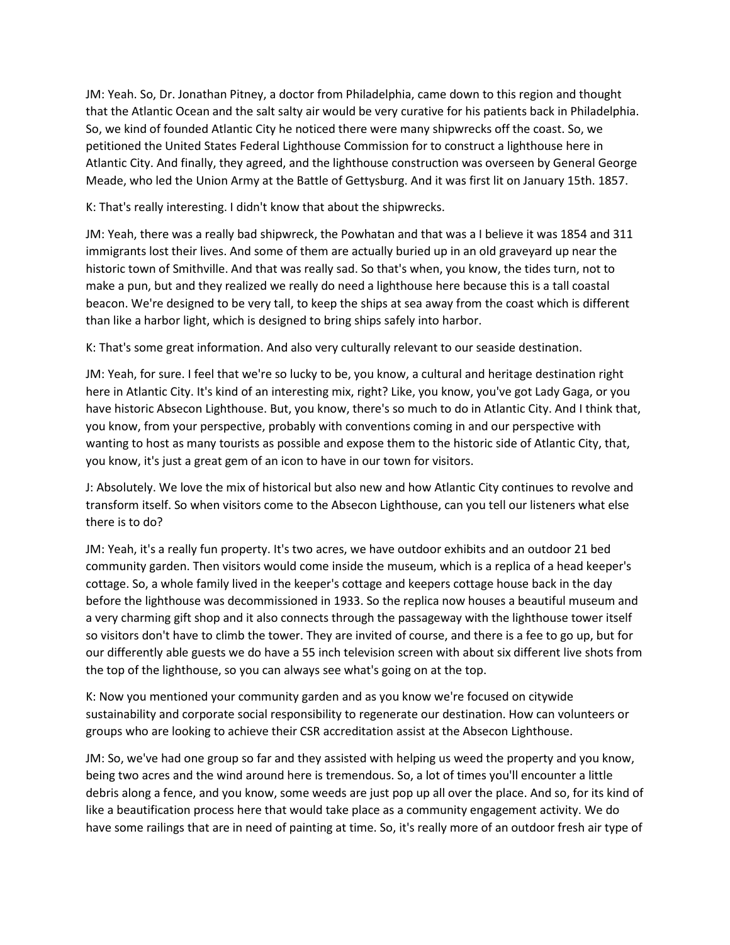JM: Yeah. So, Dr. Jonathan Pitney, a doctor from Philadelphia, came down to this region and thought that the Atlantic Ocean and the salt salty air would be very curative for his patients back in Philadelphia. So, we kind of founded Atlantic City he noticed there were many shipwrecks off the coast. So, we petitioned the United States Federal Lighthouse Commission for to construct a lighthouse here in Atlantic City. And finally, they agreed, and the lighthouse construction was overseen by General George Meade, who led the Union Army at the Battle of Gettysburg. And it was first lit on January 15th. 1857.

K: That's really interesting. I didn't know that about the shipwrecks.

JM: Yeah, there was a really bad shipwreck, the Powhatan and that was a I believe it was 1854 and 311 immigrants lost their lives. And some of them are actually buried up in an old graveyard up near the historic town of Smithville. And that was really sad. So that's when, you know, the tides turn, not to make a pun, but and they realized we really do need a lighthouse here because this is a tall coastal beacon. We're designed to be very tall, to keep the ships at sea away from the coast which is different than like a harbor light, which is designed to bring ships safely into harbor.

K: That's some great information. And also very culturally relevant to our seaside destination.

JM: Yeah, for sure. I feel that we're so lucky to be, you know, a cultural and heritage destination right here in Atlantic City. It's kind of an interesting mix, right? Like, you know, you've got Lady Gaga, or you have historic Absecon Lighthouse. But, you know, there's so much to do in Atlantic City. And I think that, you know, from your perspective, probably with conventions coming in and our perspective with wanting to host as many tourists as possible and expose them to the historic side of Atlantic City, that, you know, it's just a great gem of an icon to have in our town for visitors.

J: Absolutely. We love the mix of historical but also new and how Atlantic City continues to revolve and transform itself. So when visitors come to the Absecon Lighthouse, can you tell our listeners what else there is to do?

JM: Yeah, it's a really fun property. It's two acres, we have outdoor exhibits and an outdoor 21 bed community garden. Then visitors would come inside the museum, which is a replica of a head keeper's cottage. So, a whole family lived in the keeper's cottage and keepers cottage house back in the day before the lighthouse was decommissioned in 1933. So the replica now houses a beautiful museum and a very charming gift shop and it also connects through the passageway with the lighthouse tower itself so visitors don't have to climb the tower. They are invited of course, and there is a fee to go up, but for our differently able guests we do have a 55 inch television screen with about six different live shots from the top of the lighthouse, so you can always see what's going on at the top.

K: Now you mentioned your community garden and as you know we're focused on citywide sustainability and corporate social responsibility to regenerate our destination. How can volunteers or groups who are looking to achieve their CSR accreditation assist at the Absecon Lighthouse.

JM: So, we've had one group so far and they assisted with helping us weed the property and you know, being two acres and the wind around here is tremendous. So, a lot of times you'll encounter a little debris along a fence, and you know, some weeds are just pop up all over the place. And so, for its kind of like a beautification process here that would take place as a community engagement activity. We do have some railings that are in need of painting at time. So, it's really more of an outdoor fresh air type of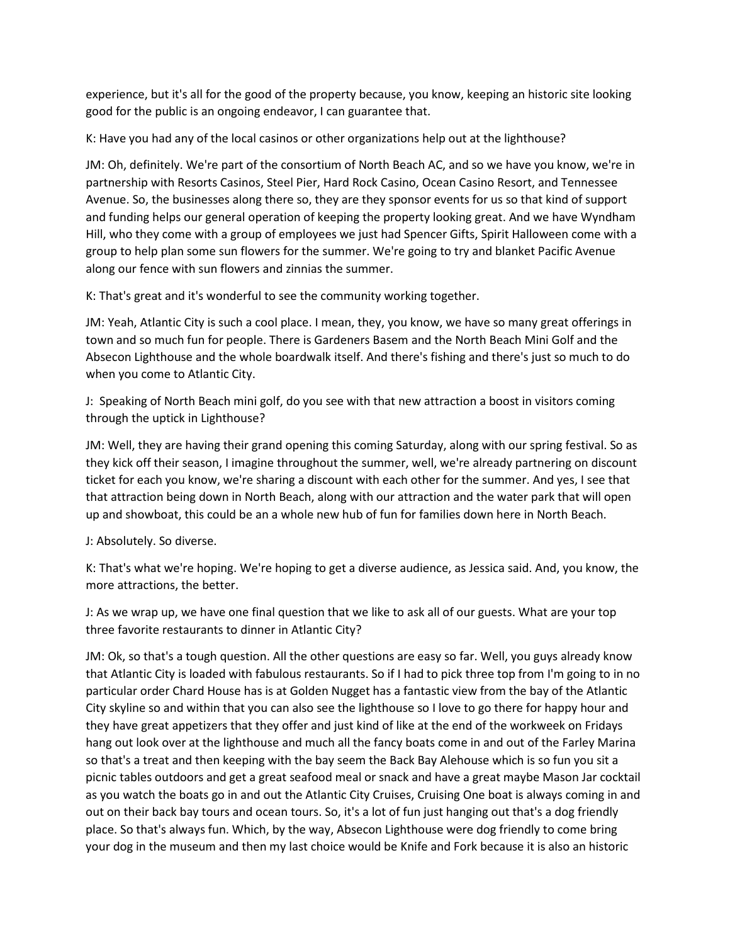experience, but it's all for the good of the property because, you know, keeping an historic site looking good for the public is an ongoing endeavor, I can guarantee that.

K: Have you had any of the local casinos or other organizations help out at the lighthouse?

JM: Oh, definitely. We're part of the consortium of North Beach AC, and so we have you know, we're in partnership with Resorts Casinos, Steel Pier, Hard Rock Casino, Ocean Casino Resort, and Tennessee Avenue. So, the businesses along there so, they are they sponsor events for us so that kind of support and funding helps our general operation of keeping the property looking great. And we have Wyndham Hill, who they come with a group of employees we just had Spencer Gifts, Spirit Halloween come with a group to help plan some sun flowers for the summer. We're going to try and blanket Pacific Avenue along our fence with sun flowers and zinnias the summer.

K: That's great and it's wonderful to see the community working together.

JM: Yeah, Atlantic City is such a cool place. I mean, they, you know, we have so many great offerings in town and so much fun for people. There is Gardeners Basem and the North Beach Mini Golf and the Absecon Lighthouse and the whole boardwalk itself. And there's fishing and there's just so much to do when you come to Atlantic City.

J: Speaking of North Beach mini golf, do you see with that new attraction a boost in visitors coming through the uptick in Lighthouse?

JM: Well, they are having their grand opening this coming Saturday, along with our spring festival. So as they kick off their season, I imagine throughout the summer, well, we're already partnering on discount ticket for each you know, we're sharing a discount with each other for the summer. And yes, I see that that attraction being down in North Beach, along with our attraction and the water park that will open up and showboat, this could be an a whole new hub of fun for families down here in North Beach.

J: Absolutely. So diverse.

K: That's what we're hoping. We're hoping to get a diverse audience, as Jessica said. And, you know, the more attractions, the better.

J: As we wrap up, we have one final question that we like to ask all of our guests. What are your top three favorite restaurants to dinner in Atlantic City?

JM: Ok, so that's a tough question. All the other questions are easy so far. Well, you guys already know that Atlantic City is loaded with fabulous restaurants. So if I had to pick three top from I'm going to in no particular order Chard House has is at Golden Nugget has a fantastic view from the bay of the Atlantic City skyline so and within that you can also see the lighthouse so I love to go there for happy hour and they have great appetizers that they offer and just kind of like at the end of the workweek on Fridays hang out look over at the lighthouse and much all the fancy boats come in and out of the Farley Marina so that's a treat and then keeping with the bay seem the Back Bay Alehouse which is so fun you sit a picnic tables outdoors and get a great seafood meal or snack and have a great maybe Mason Jar cocktail as you watch the boats go in and out the Atlantic City Cruises, Cruising One boat is always coming in and out on their back bay tours and ocean tours. So, it's a lot of fun just hanging out that's a dog friendly place. So that's always fun. Which, by the way, Absecon Lighthouse were dog friendly to come bring your dog in the museum and then my last choice would be Knife and Fork because it is also an historic